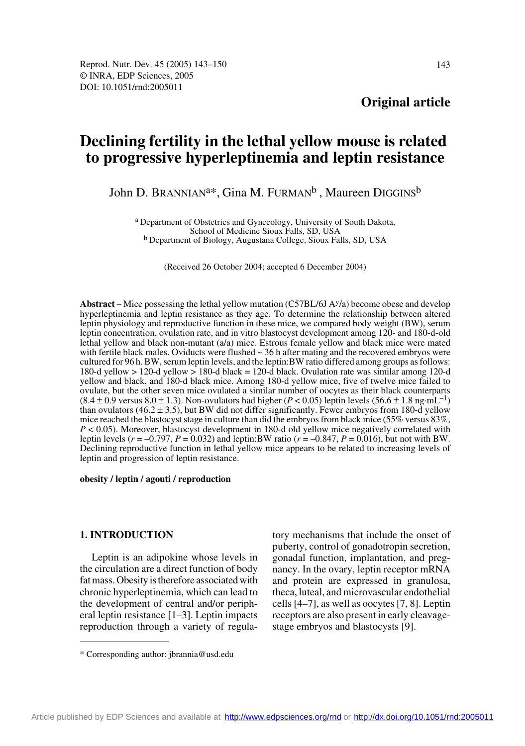**Original article**

# **Declining fertility in the lethal yellow mouse is related to progressive hyperleptinemia and leptin resistance**

John D. BRANNIAN<sup>a\*</sup>, Gina M. FURMAN<sup>b</sup>, Maureen DIGGINS<sup>b</sup>

a Department of Obstetrics and Gynecology, University of South Dakota, School of Medicine Sioux Falls, SD, USA b Department of Biology, Augustana College, Sioux Falls, SD, USA

(Received 26 October 2004; accepted 6 December 2004)

**Abstract** – Mice possessing the lethal yellow mutation (C57BL/6J Ay/a) become obese and develop hyperleptinemia and leptin resistance as they age. To determine the relationship between altered leptin physiology and reproductive function in these mice, we compared body weight (BW), serum leptin concentration, ovulation rate, and in vitro blastocyst development among 120- and 180-d-old lethal yellow and black non-mutant (a/a) mice. Estrous female yellow and black mice were mated with fertile black males. Oviducts were flushed  $\sim$  36 h after mating and the recovered embryos were cultured for 96 h. BW, serum leptin levels, and the leptin:BW ratio differed among groups as follows: 180-d yellow > 120-d yellow > 180-d black = 120-d black. Ovulation rate was similar among 120-d yellow and black, and 180-d black mice. Among 180-d yellow mice, five of twelve mice failed to ovulate, but the other seven mice ovulated a similar number of oocytes as their black counterparts  $(8.4 \pm 0.9 \text{ versus } 8.0 \pm 1.3)$ . Non-ovulators had higher ( $P < 0.05$ ) leptin levels (56.6  $\pm 1.8 \text{ ng} \cdot \text{m} \text{L}^{-1}$ ) than ovulators (46.2  $\pm$  3.5), but BW did not differ significantly. Fewer embryos from 180-d yellow mice reached the blastocyst stage in culture than did the embryos from black mice (55% versus 83%, *P* < 0.05). Moreover, blastocyst development in 180-d old yellow mice negatively correlated with leptin levels ( $r = -0.797$ ,  $P = 0.032$ ) and leptin:BW ratio ( $r = -0.847$ ,  $P = 0.016$ ), but not with BW. Declining reproductive function in lethal yellow mice appears to be related to increasing levels of leptin and progression of leptin resistance.

#### **obesity / leptin / agouti / reproduction**

# **1. INTRODUCTION**

Leptin is an adipokine whose levels in the circulation are a direct function of body fat mass. Obesity is therefore associated with chronic hyperleptinemia, which can lead to the development of central and/or peripheral leptin resistance [1–3]. Leptin impacts reproduction through a variety of regulatory mechanisms that include the onset of puberty, control of gonadotropin secretion, gonadal function, implantation, and pregnancy. In the ovary, leptin receptor mRNA and protein are expressed in granulosa, theca, luteal, and microvascular endothelial cells [4–7], as well as oocytes [7, 8]. Leptin receptors are also present in early cleavagestage embryos and blastocysts [9].

<sup>\*</sup> Corresponding author: jbrannia@usd.edu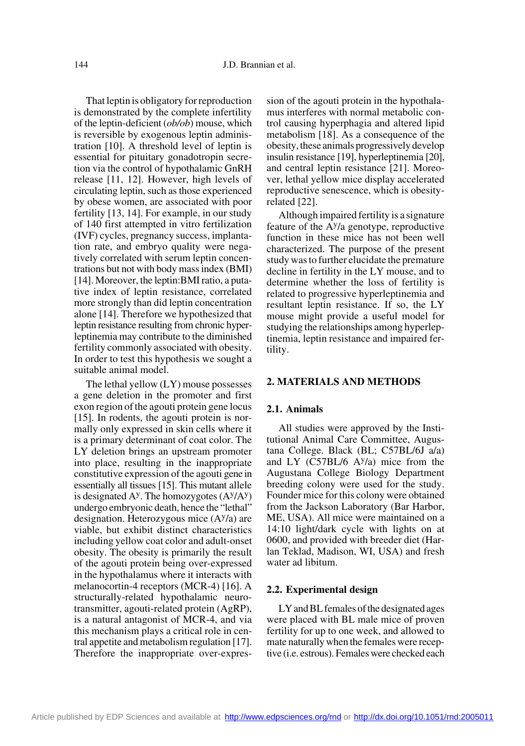That leptin is obligatory for reproduction is demonstrated by the complete infertility of the leptin-deficient (*ob/ob*) mouse, which is reversible by exogenous leptin administration [10]. A threshold level of leptin is essential for pituitary gonadotropin secretion via the control of hypothalamic GnRH release [11, 12]. However, high levels of circulating leptin, such as those experienced by obese women, are associated with poor fertility [13, 14]. For example, in our study of 140 first attempted in vitro fertilization (IVF) cycles, pregnancy success, implantation rate, and embryo quality were negatively correlated with serum leptin concentrations but not with body mass index (BMI) [14]. Moreover, the leptin:BMI ratio, a putative index of leptin resistance, correlated more strongly than did leptin concentration alone [14]. Therefore we hypothesized that leptin resistance resulting from chronic hyperleptinemia may contribute to the diminished fertility commonly associated with obesity. In order to test this hypothesis we sought a suitable animal model.

The lethal yellow (LY) mouse possesses a gene deletion in the promoter and first exon region of the agouti protein gene locus [15]. In rodents, the agouti protein is normally only expressed in skin cells where it is a primary determinant of coat color. The LY deletion brings an upstream promoter into place, resulting in the inappropriate constitutive expression of the agouti gene in essentially all tissues [15]. This mutant allele is designated  $A<sup>y</sup>$ . The homozygotes  $(A<sup>y</sup>/A<sup>y</sup>)$ undergo embryonic death, hence the "lethal" designation. Heterozygous mice  $(A<sup>y</sup>/a)$  are viable, but exhibit distinct characteristics including yellow coat color and adult-onset obesity. The obesity is primarily the result of the agouti protein being over-expressed in the hypothalamus where it interacts with melanocortin-4 receptors (MCR-4) [16]. A structurally-related hypothalamic neurotransmitter, agouti-related protein (AgRP), is a natural antagonist of MCR-4, and via this mechanism plays a critical role in central appetite and metabolism regulation [17]. Therefore the inappropriate over-expression of the agouti protein in the hypothalamus interferes with normal metabolic control causing hyperphagia and altered lipid metabolism [18]. As a consequence of the obesity, these animals progressively develop insulin resistance [19], hyperleptinemia [20], and central leptin resistance [21]. Moreover, lethal yellow mice display accelerated reproductive senescence, which is obesityrelated [22].

Although impaired fertility is a signature feature of the Ay/a genotype, reproductive function in these mice has not been well characterized. The purpose of the present study was to further elucidate the premature decline in fertility in the LY mouse, and to determine whether the loss of fertility is related to progressive hyperleptinemia and resultant leptin resistance. If so, the LY mouse might provide a useful model for studying the relationships among hyperleptinemia, leptin resistance and impaired fertility.

## **2. MATERIALS AND METHODS**

#### **2.1. Animals**

All studies were approved by the Institutional Animal Care Committee, Augustana College. Black (BL; C57BL/6J a/a) and LY  $(C57BL/6$  A $y/a$ ) mice from the Augustana College Biology Department breeding colony were used for the study. Founder mice for this colony were obtained from the Jackson Laboratory (Bar Harbor, ME, USA). All mice were maintained on a 14:10 light/dark cycle with lights on at 0600, and provided with breeder diet (Harlan Teklad, Madison, WI, USA) and fresh water ad libitum.

#### **2.2. Experimental design**

LY and BL females of the designated ages were placed with BL male mice of proven fertility for up to one week, and allowed to mate naturally when the females were receptive (i.e. estrous). Females were checked each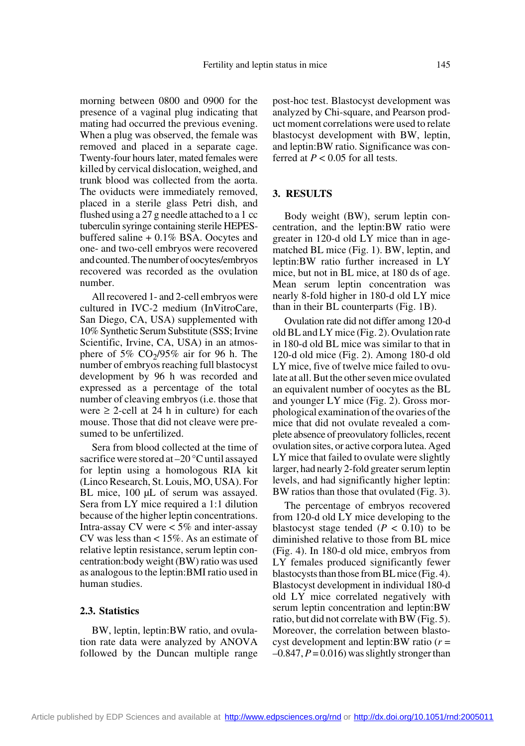morning between 0800 and 0900 for the presence of a vaginal plug indicating that mating had occurred the previous evening. When a plug was observed, the female was removed and placed in a separate cage. Twenty-four hours later, mated females were killed by cervical dislocation, weighed, and trunk blood was collected from the aorta. The oviducts were immediately removed, placed in a sterile glass Petri dish, and flushed using a 27 g needle attached to a 1 cc tuberculin syringe containing sterile HEPESbuffered saline + 0.1% BSA. Oocytes and one- and two-cell embryos were recovered and counted. The number of oocytes/embryos recovered was recorded as the ovulation number.

All recovered 1- and 2-cell embryos were cultured in IVC-2 medium (InVitroCare, San Diego, CA, USA) supplemented with 10% Synthetic Serum Substitute (SSS; Irvine Scientific, Irvine, CA, USA) in an atmosphere of 5%  $CO<sub>2</sub>/95%$  air for 96 h. The number of embryos reaching full blastocyst development by 96 h was recorded and expressed as a percentage of the total number of cleaving embryos (i.e. those that were  $\geq$  2-cell at 24 h in culture) for each mouse. Those that did not cleave were presumed to be unfertilized.

Sera from blood collected at the time of sacrifice were stored at –20 °C until assayed for leptin using a homologous RIA kit (Linco Research, St. Louis, MO, USA). For BL mice, 100 µL of serum was assayed. Sera from LY mice required a 1:1 dilution because of the higher leptin concentrations. Intra-assay CV were < 5% and inter-assay CV was less than < 15%. As an estimate of relative leptin resistance, serum leptin concentration:body weight (BW) ratio was used as analogous to the leptin:BMI ratio used in human studies.

# **2.3. Statistics**

BW, leptin, leptin:BW ratio, and ovulation rate data were analyzed by ANOVA followed by the Duncan multiple range post-hoc test. Blastocyst development was analyzed by Chi-square, and Pearson product moment correlations were used to relate blastocyst development with BW, leptin, and leptin:BW ratio. Significance was conferred at  $P < 0.05$  for all tests.

## **3. RESULTS**

Body weight (BW), serum leptin concentration, and the leptin:BW ratio were greater in 120-d old LY mice than in agematched BL mice (Fig. 1). BW, leptin, and leptin:BW ratio further increased in LY mice, but not in BL mice, at 180 ds of age. Mean serum leptin concentration was nearly 8-fold higher in 180-d old LY mice than in their BL counterparts (Fig. 1B).

Ovulation rate did not differ among 120-d old BL and LY mice (Fig. 2). Ovulation rate in 180-d old BL mice was similar to that in 120-d old mice (Fig. 2). Among 180-d old LY mice, five of twelve mice failed to ovulate at all. But the other seven mice ovulated an equivalent number of oocytes as the BL and younger LY mice (Fig. 2). Gross morphological examination of the ovaries of the mice that did not ovulate revealed a complete absence of preovulatory follicles, recent ovulation sites, or active corpora lutea. Aged LY mice that failed to ovulate were slightly larger, had nearly 2-fold greater serum leptin levels, and had significantly higher leptin: BW ratios than those that ovulated (Fig. 3).

The percentage of embryos recovered from 120-d old LY mice developing to the blastocyst stage tended  $(P < 0.10)$  to be diminished relative to those from BL mice (Fig. 4). In 180-d old mice, embryos from LY females produced significantly fewer blastocysts than those from BL mice (Fig. 4). Blastocyst development in individual 180-d old LY mice correlated negatively with serum leptin concentration and leptin:BW ratio, but did not correlate with BW (Fig. 5). Moreover, the correlation between blastocyst development and leptin:BW ratio (*r* =  $-0.847, P = 0.016$  was slightly stronger than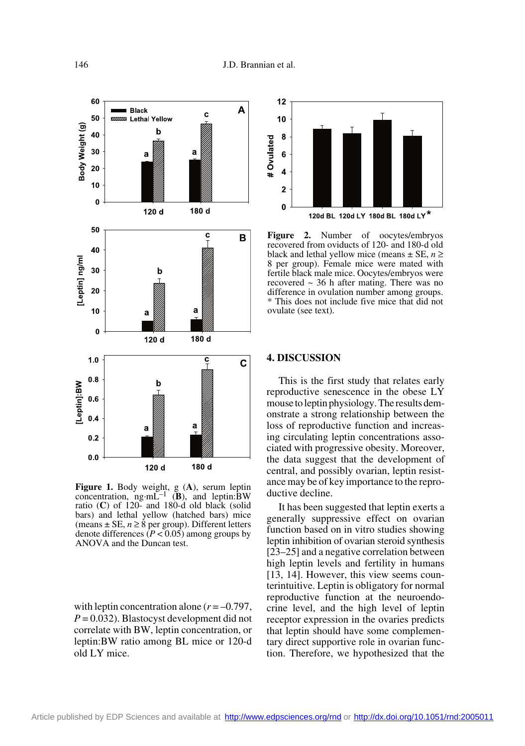

**Figure 1.** Body weight, g (**A**), serum leptin concentration, ng·mL–1 (**B**), and leptin:BW ratio (**C**) of 120- and 180-d old black (solid bars) and lethal yellow (hatched bars) mice (means  $\pm$  SE,  $n \ge 8$  per group). Different letters denote differences  $(P < 0.05)$  among groups by ANOVA and the Duncan test.

with leptin concentration alone  $(r = -0.797)$ , *P* = 0.032). Blastocyst development did not correlate with BW, leptin concentration, or leptin:BW ratio among BL mice or 120-d old LY mice.



**Figure 2.** Number of oocytes/embryos recovered from oviducts of 120- and 180-d old black and lethal yellow mice (means  $\pm$  SE,  $n \ge$ 8 per group). Female mice were mated with fertile black male mice. Oocytes/embryos were recovered  $\sim$  36 h after mating. There was no difference in ovulation number among groups. \* This does not include five mice that did not ovulate (see text).

#### **4. DISCUSSION**

This is the first study that relates early reproductive senescence in the obese LY mouse to leptin physiology. The results demonstrate a strong relationship between the loss of reproductive function and increasing circulating leptin concentrations associated with progressive obesity. Moreover, the data suggest that the development of central, and possibly ovarian, leptin resistance may be of key importance to the reproductive decline.

It has been suggested that leptin exerts a generally suppressive effect on ovarian function based on in vitro studies showing leptin inhibition of ovarian steroid synthesis [23–25] and a negative correlation between high leptin levels and fertility in humans [13, 14]. However, this view seems counterintuitive. Leptin is obligatory for normal reproductive function at the neuroendocrine level, and the high level of leptin receptor expression in the ovaries predicts that leptin should have some complementary direct supportive role in ovarian function. Therefore, we hypothesized that the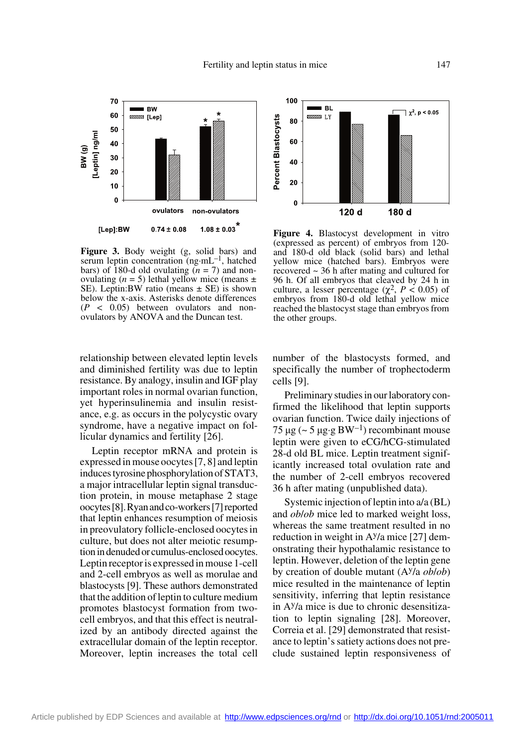

**Figure 3.** Body weight (g, solid bars) and serum leptin concentration  $(ng·mL^{-1})$ , hatched bars) of 180-d old ovulating  $(n = 7)$  and nonovulating  $(n = 5)$  lethal yellow mice (means  $\pm$ SE). Leptin: BW ratio (means  $\pm$  SE) is shown below the x-axis. Asterisks denote differences  $(P < 0.05)$  between ovulators and nonovulators by ANOVA and the Duncan test.

relationship between elevated leptin levels and diminished fertility was due to leptin resistance. By analogy, insulin and IGF play important roles in normal ovarian function, yet hyperinsulinemia and insulin resistance, e.g. as occurs in the polycystic ovary syndrome, have a negative impact on follicular dynamics and fertility [26].

Leptin receptor mRNA and protein is expressed in mouse oocytes [7, 8] and leptin induces tyrosine phosphorylation of STAT3, a major intracellular leptin signal transduction protein, in mouse metaphase 2 stage oocytes [8].Ryan and co-workers [7] reported that leptin enhances resumption of meiosis in preovulatory follicle-enclosed oocytes in culture, but does not alter meiotic resumption in denuded or cumulus-enclosed oocytes. Leptin receptor is expressed in mouse 1-cell and 2-cell embryos as well as morulae and blastocysts [9]. These authors demonstrated that the addition of leptin to culture medium promotes blastocyst formation from twocell embryos, and that this effect is neutralized by an antibody directed against the extracellular domain of the leptin receptor. Moreover, leptin increases the total cell



**Figure 4.** Blastocyst development in vitro (expressed as percent) of embryos from 120 and 180-d old black (solid bars) and lethal yellow mice (hatched bars). Embryos were recovered ~ 36 h after mating and cultured for 96 h. Of all embryos that cleaved by 24 h in culture, a lesser percentage ( $\chi^2$ ,  $P < 0.05$ ) of embryos from 180-d old lethal yellow mice reached the blastocyst stage than embryos from the other groups.

number of the blastocysts formed, and specifically the number of trophectoderm cells [9].

Preliminary studies in our laboratory confirmed the likelihood that leptin supports ovarian function. Twice daily injections of 75 µg (~ 5 µg·g BW<sup>-1</sup>) recombinant mouse leptin were given to eCG/hCG-stimulated 28-d old BL mice. Leptin treatment significantly increased total ovulation rate and the number of 2-cell embryos recovered 36 h after mating (unpublished data).

Systemic injection of leptin into a/a (BL) and *ob*/*ob* mice led to marked weight loss, whereas the same treatment resulted in no reduction in weight in  $A<sup>y</sup>/a$  mice [27] demonstrating their hypothalamic resistance to leptin. However, deletion of the leptin gene by creation of double mutant (Ay/a *ob*/*ob*) mice resulted in the maintenance of leptin sensitivity, inferring that leptin resistance in Ay/a mice is due to chronic desensitization to leptin signaling [28]. Moreover, Correia et al. [29] demonstrated that resistance to leptin's satiety actions does not preclude sustained leptin responsiveness of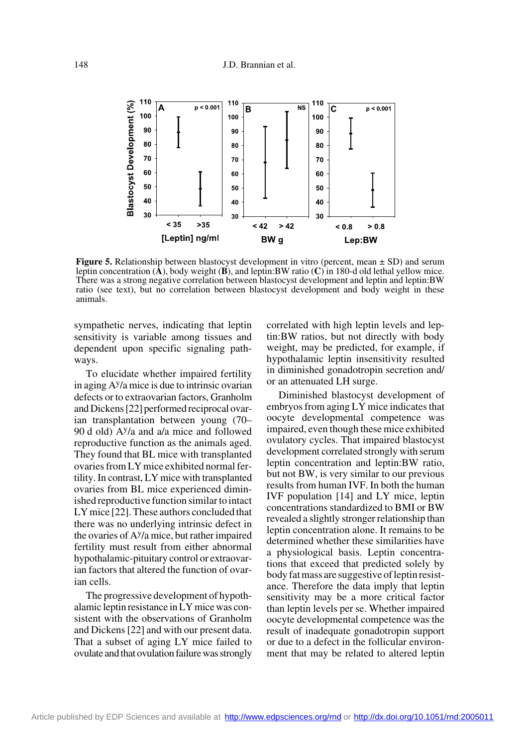

**Figure 5.** Relationship between blastocyst development in vitro (percent, mean  $\pm$  SD) and serum leptin concentration (**A**), body weight (**B**), and leptin:BW ratio (**C**) in 180-d old lethal yellow mice. There was a strong negative correlation between blastocyst development and leptin and leptin:BW ratio (see text), but no correlation between blastocyst development and body weight in these animals.

sympathetic nerves, indicating that leptin sensitivity is variable among tissues and dependent upon specific signaling pathways.

To elucidate whether impaired fertility in aging  $A<sup>y</sup>/a$  mice is due to intrinsic ovarian defects or to extraovarian factors, Granholm and Dickens [22] performed reciprocal ovarian transplantation between young (70– 90 d old)  $A<sup>y</sup>/a$  and a/a mice and followed reproductive function as the animals aged. They found that BL mice with transplanted ovaries from LY mice exhibited normal fertility. In contrast, LY mice with transplanted ovaries from BL mice experienced diminished reproductive function similar to intact LY mice [22]. These authors concluded that there was no underlying intrinsic defect in the ovaries of Ay/a mice, but rather impaired fertility must result from either abnormal hypothalamic-pituitary control or extraovarian factors that altered the function of ovarian cells.

The progressive development of hypothalamic leptin resistance in LY mice was consistent with the observations of Granholm and Dickens [22] and with our present data. That a subset of aging LY mice failed to ovulate and that ovulation failure was strongly correlated with high leptin levels and leptin:BW ratios, but not directly with body weight, may be predicted, for example, if hypothalamic leptin insensitivity resulted in diminished gonadotropin secretion and/ or an attenuated LH surge.

Diminished blastocyst development of embryos from aging LY mice indicates that oocyte developmental competence was impaired, even though these mice exhibited ovulatory cycles. That impaired blastocyst development correlated strongly with serum leptin concentration and leptin:BW ratio, but not BW, is very similar to our previous results from human IVF. In both the human IVF population [14] and LY mice, leptin concentrations standardized to BMI or BW revealed a slightly stronger relationship than leptin concentration alone. It remains to be determined whether these similarities have a physiological basis. Leptin concentrations that exceed that predicted solely by body fat mass are suggestive of leptin resistance. Therefore the data imply that leptin sensitivity may be a more critical factor than leptin levels per se. Whether impaired oocyte developmental competence was the result of inadequate gonadotropin support or due to a defect in the follicular environment that may be related to altered leptin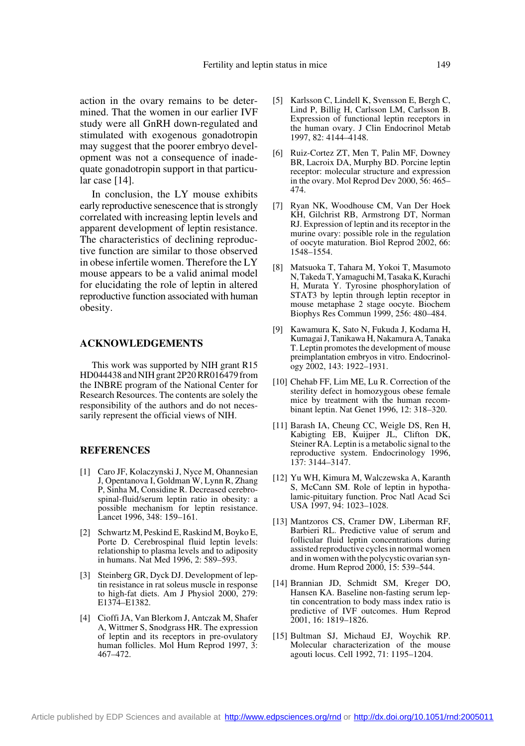action in the ovary remains to be determined. That the women in our earlier IVF study were all GnRH down-regulated and stimulated with exogenous gonadotropin may suggest that the poorer embryo development was not a consequence of inadequate gonadotropin support in that particular case [14].

In conclusion, the LY mouse exhibits early reproductive senescence that is strongly correlated with increasing leptin levels and apparent development of leptin resistance. The characteristics of declining reproductive function are similar to those observed in obese infertile women. Therefore the LY mouse appears to be a valid animal model for elucidating the role of leptin in altered reproductive function associated with human obesity.

#### **ACKNOWLEDGEMENTS**

This work was supported by NIH grant R15 HD044438 and NIH grant 2P20 RR016479 from the INBRE program of the National Center for Research Resources. The contents are solely the responsibility of the authors and do not necessarily represent the official views of NIH.

## **REFERENCES**

- [1] Caro JF, Kolaczynski J, Nyce M, Ohannesian J, Opentanova I, Goldman W, Lynn R, Zhang P, Sinha M, Considine R. Decreased cerebrospinal-fluid/serum leptin ratio in obesity: a possible mechanism for leptin resistance. Lancet 1996, 348: 159–161.
- [2] Schwartz M, Peskind E, Raskind M, Boyko E, Porte D. Cerebrospinal fluid leptin levels: relationship to plasma levels and to adiposity in humans. Nat Med 1996, 2: 589–593.
- [3] Steinberg GR, Dyck DJ. Development of leptin resistance in rat soleus muscle in response to high-fat diets. Am J Physiol 2000, 279: E1374–E1382.
- [4] Cioffi JA, Van Blerkom J, Antczak M, Shafer A, Wittmer S, Snodgrass HR. The expression of leptin and its receptors in pre-ovulatory human follicles. Mol Hum Reprod 1997, 3: 467–472.
- [5] Karlsson C, Lindell K, Svensson E, Bergh C, Lind P, Billig H, Carlsson LM, Carlsson B. Expression of functional leptin receptors in the human ovary. J Clin Endocrinol Metab 1997, 82: 4144–4148.
- [6] Ruiz-Cortez ZT, Men T, Palin MF, Downey BR, Lacroix DA, Murphy BD. Porcine leptin receptor: molecular structure and expression in the ovary. Mol Reprod Dev 2000, 56: 465– 474.
- [7] Ryan NK, Woodhouse CM, Van Der Hoek KH, Gilchrist RB, Armstrong DT, Norman RJ. Expression of leptin and its receptor in the murine ovary: possible role in the regulation of oocyte maturation. Biol Reprod 2002, 66: 1548–1554.
- [8] Matsuoka T, Tahara M, Yokoi T, Masumoto N, Takeda T, Yamaguchi M, Tasaka K, Kurachi H, Murata Y. Tyrosine phosphorylation of STAT3 by leptin through leptin receptor in mouse metaphase 2 stage oocyte. Biochem Biophys Res Commun 1999, 256: 480–484.
- [9] Kawamura K, Sato N, Fukuda J, Kodama H, Kumagai J, Tanikawa H, Nakamura A, Tanaka T. Leptin promotes the development of mouse preimplantation embryos in vitro. Endocrinology 2002, 143: 1922–1931.
- [10] Chehab FF, Lim ME, Lu R. Correction of the sterility defect in homozygous obese female mice by treatment with the human recombinant leptin. Nat Genet 1996, 12: 318–320.
- [11] Barash IA, Cheung CC, Weigle DS, Ren H, Kabigting EB, Kuijper JL, Clifton DK, Steiner RA. Leptin is a metabolic signal to the reproductive system. Endocrinology 1996, 137: 3144–3147.
- [12] Yu WH, Kimura M, Walczewska A, Karanth S, McCann SM. Role of leptin in hypothalamic-pituitary function. Proc Natl Acad Sci USA 1997, 94: 1023–1028.
- [13] Mantzoros CS, Cramer DW, Liberman RF, Barbieri RL. Predictive value of serum and follicular fluid leptin concentrations during assisted reproductive cycles in normal women and in women with the polycystic ovarian syndrome. Hum Reprod 2000, 15: 539–544.
- [14] Brannian JD, Schmidt SM, Kreger DO, Hansen KA. Baseline non-fasting serum leptin concentration to body mass index ratio is predictive of IVF outcomes. Hum Reprod 2001, 16: 1819–1826.
- [15] Bultman SJ, Michaud EJ, Woychik RP. Molecular characterization of the mouse agouti locus. Cell 1992, 71: 1195–1204.